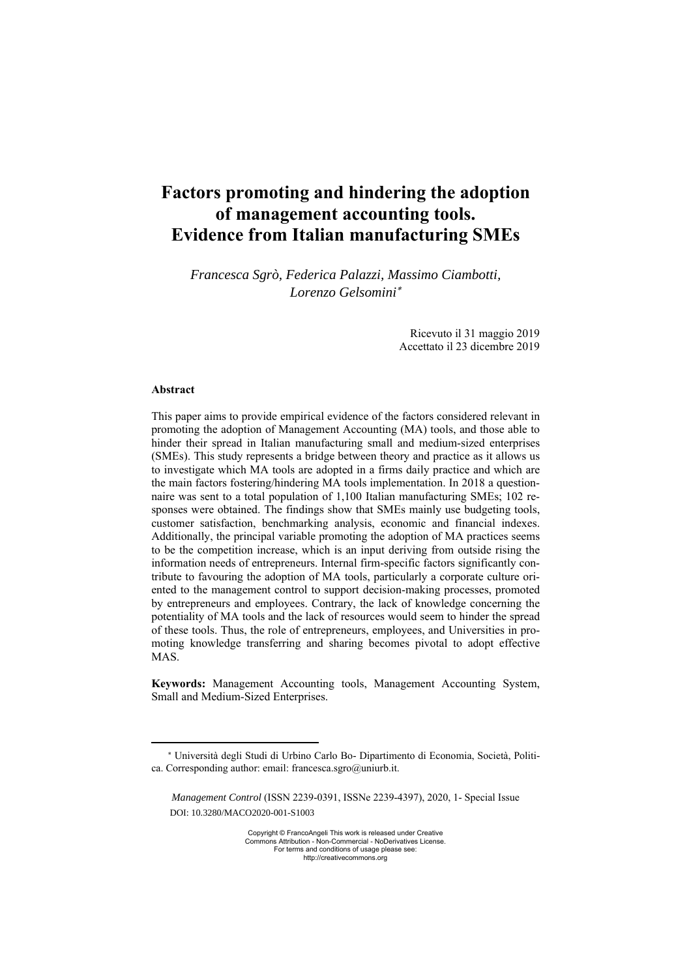# **Factors promoting and hindering the adoption of management accounting tools. Evidence from Italian manufacturing SMEs**

*Francesca Sgrò, Federica Palazzi, Massimo Ciambotti, Lorenzo Gelsomini*

> Ricevuto il 31 maggio 2019 Accettato il 23 dicembre 2019

#### **Abstract**

This paper aims to provide empirical evidence of the factors considered relevant in promoting the adoption of Management Accounting (MA) tools, and those able to hinder their spread in Italian manufacturing small and medium-sized enterprises (SMEs). This study represents a bridge between theory and practice as it allows us to investigate which MA tools are adopted in a firms daily practice and which are the main factors fostering/hindering MA tools implementation. In 2018 a questionnaire was sent to a total population of 1,100 Italian manufacturing SMEs; 102 responses were obtained. The findings show that SMEs mainly use budgeting tools, customer satisfaction, benchmarking analysis, economic and financial indexes. Additionally, the principal variable promoting the adoption of MA practices seems to be the competition increase, which is an input deriving from outside rising the information needs of entrepreneurs. Internal firm-specific factors significantly contribute to favouring the adoption of MA tools, particularly a corporate culture oriented to the management control to support decision-making processes, promoted by entrepreneurs and employees. Contrary, the lack of knowledge concerning the potentiality of MA tools and the lack of resources would seem to hinder the spread of these tools. Thus, the role of entrepreneurs, employees, and Universities in promoting knowledge transferring and sharing becomes pivotal to adopt effective MAS.

**Keywords:** Management Accounting tools, Management Accounting System, Small and Medium-Sized Enterprises.

Università degli Studi di Urbino Carlo Bo- Dipartimento di Economia, Società, Politica. Corresponding author: email: francesca.sgro@uniurb.it.

*Management Control* (ISSN 2239-0391, ISSNe 2239-4397), 2020, 1- Special Issue DOI: 10.3280/MACO2020-001-S1003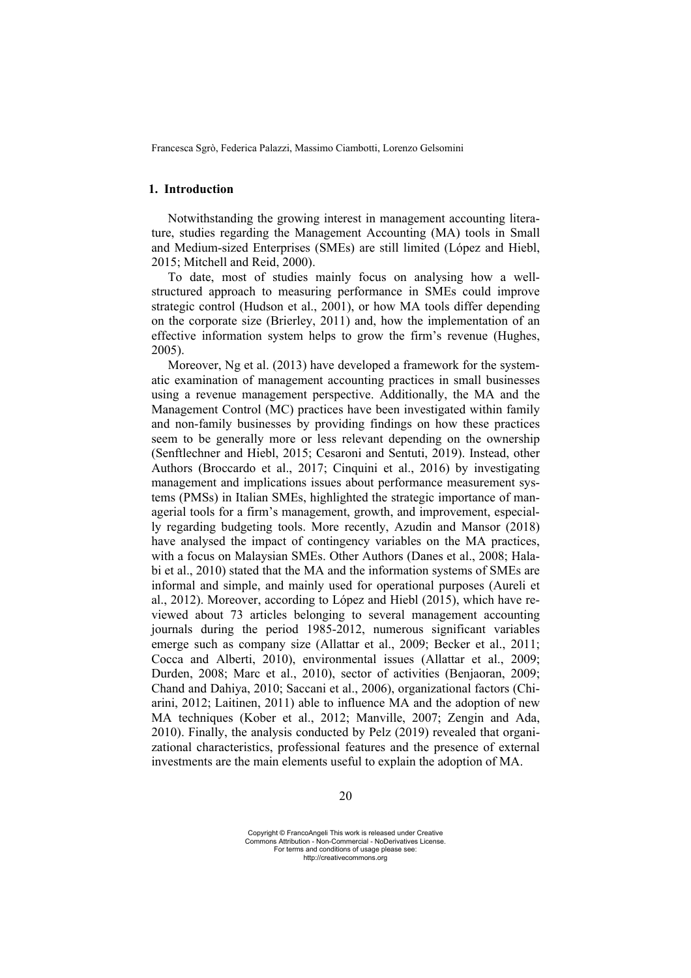## **1. Introduction**

Notwithstanding the growing interest in management accounting literature, studies regarding the Management Accounting (MA) tools in Small and Medium-sized Enterprises (SMEs) are still limited (López and Hiebl, 2015; Mitchell and Reid, 2000).

To date, most of studies mainly focus on analysing how a wellstructured approach to measuring performance in SMEs could improve strategic control (Hudson et al., 2001), or how MA tools differ depending on the corporate size (Brierley, 2011) and, how the implementation of an effective information system helps to grow the firm's revenue (Hughes, 2005).

Moreover, Ng et al. (2013) have developed a framework for the systematic examination of management accounting practices in small businesses using a revenue management perspective. Additionally, the MA and the Management Control (MC) practices have been investigated within family and non-family businesses by providing findings on how these practices seem to be generally more or less relevant depending on the ownership (Senftlechner and Hiebl, 2015; Cesaroni and Sentuti, 2019). Instead, other Authors (Broccardo et al., 2017; Cinquini et al., 2016) by investigating management and implications issues about performance measurement systems (PMSs) in Italian SMEs, highlighted the strategic importance of managerial tools for a firm's management, growth, and improvement, especially regarding budgeting tools. More recently, Azudin and Mansor (2018) have analysed the impact of contingency variables on the MA practices, with a focus on Malaysian SMEs. Other Authors (Danes et al., 2008; Halabi et al., 2010) stated that the MA and the information systems of SMEs are informal and simple, and mainly used for operational purposes (Aureli et al., 2012). Moreover, according to López and Hiebl (2015), which have reviewed about 73 articles belonging to several management accounting journals during the period 1985-2012, numerous significant variables emerge such as company size (Allattar et al., 2009; Becker et al., 2011; Cocca and Alberti, 2010), environmental issues (Allattar et al., 2009; Durden, 2008; Marc et al., 2010), sector of activities (Benjaoran, 2009; Chand and Dahiya, 2010; Saccani et al., 2006), organizational factors (Chiarini, 2012; Laitinen, 2011) able to influence MA and the adoption of new MA techniques (Kober et al., 2012; Manville, 2007; Zengin and Ada, 2010). Finally, the analysis conducted by Pelz (2019) revealed that organizational characteristics, professional features and the presence of external investments are the main elements useful to explain the adoption of MA.

Copyright © FrancoAngeli This work is released under Creative Commons Attribution - Non-Commercial - NoDerivatives License. For terms and conditions of usage please see: http://creativecommons.org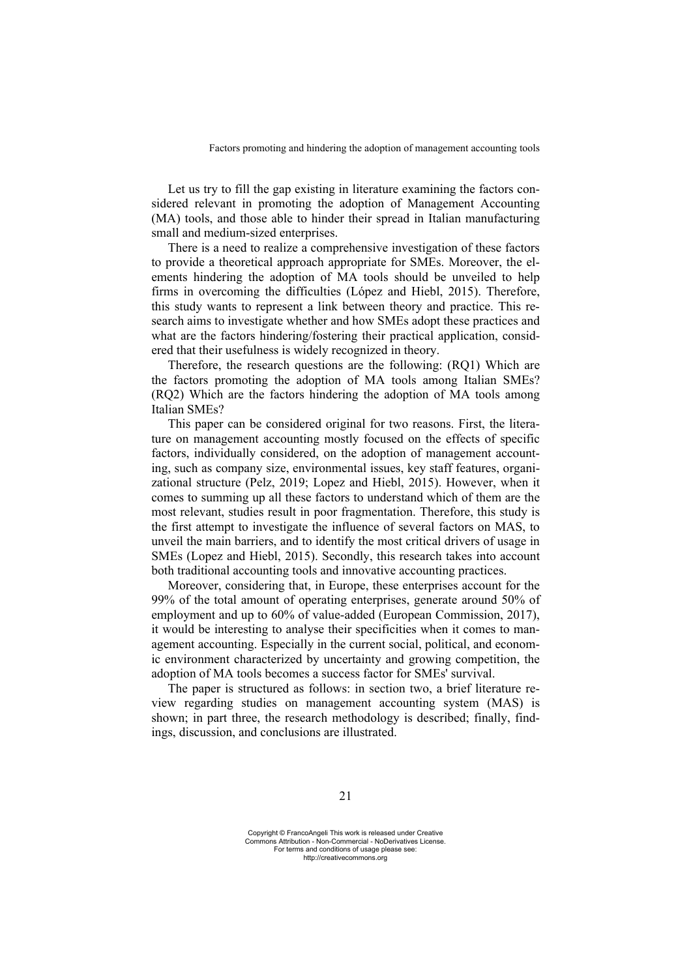Let us try to fill the gap existing in literature examining the factors considered relevant in promoting the adoption of Management Accounting (MA) tools, and those able to hinder their spread in Italian manufacturing small and medium-sized enterprises.

There is a need to realize a comprehensive investigation of these factors to provide a theoretical approach appropriate for SMEs. Moreover, the elements hindering the adoption of MA tools should be unveiled to help firms in overcoming the difficulties (López and Hiebl, 2015). Therefore, this study wants to represent a link between theory and practice. This research aims to investigate whether and how SMEs adopt these practices and what are the factors hindering/fostering their practical application, considered that their usefulness is widely recognized in theory.

Therefore, the research questions are the following: (RQ1) Which are the factors promoting the adoption of MA tools among Italian SMEs? (RQ2) Which are the factors hindering the adoption of MA tools among Italian SMEs?

This paper can be considered original for two reasons. First, the literature on management accounting mostly focused on the effects of specific factors, individually considered, on the adoption of management accounting, such as company size, environmental issues, key staff features, organizational structure (Pelz, 2019; Lopez and Hiebl, 2015). However, when it comes to summing up all these factors to understand which of them are the most relevant, studies result in poor fragmentation. Therefore, this study is the first attempt to investigate the influence of several factors on MAS, to unveil the main barriers, and to identify the most critical drivers of usage in SMEs (Lopez and Hiebl, 2015). Secondly, this research takes into account both traditional accounting tools and innovative accounting practices.

Moreover, considering that, in Europe, these enterprises account for the 99% of the total amount of operating enterprises, generate around 50% of employment and up to 60% of value-added (European Commission, 2017), it would be interesting to analyse their specificities when it comes to management accounting. Especially in the current social, political, and economic environment characterized by uncertainty and growing competition, the adoption of MA tools becomes a success factor for SMEs' survival.

The paper is structured as follows: in section two, a brief literature review regarding studies on management accounting system (MAS) is shown; in part three, the research methodology is described; finally, findings, discussion, and conclusions are illustrated.

Copyright © FrancoAngeli This work is released under Creative Commons Attribution - Non-Commercial - NoDerivatives License. For terms and conditions of usage please see: http://creativecommons.org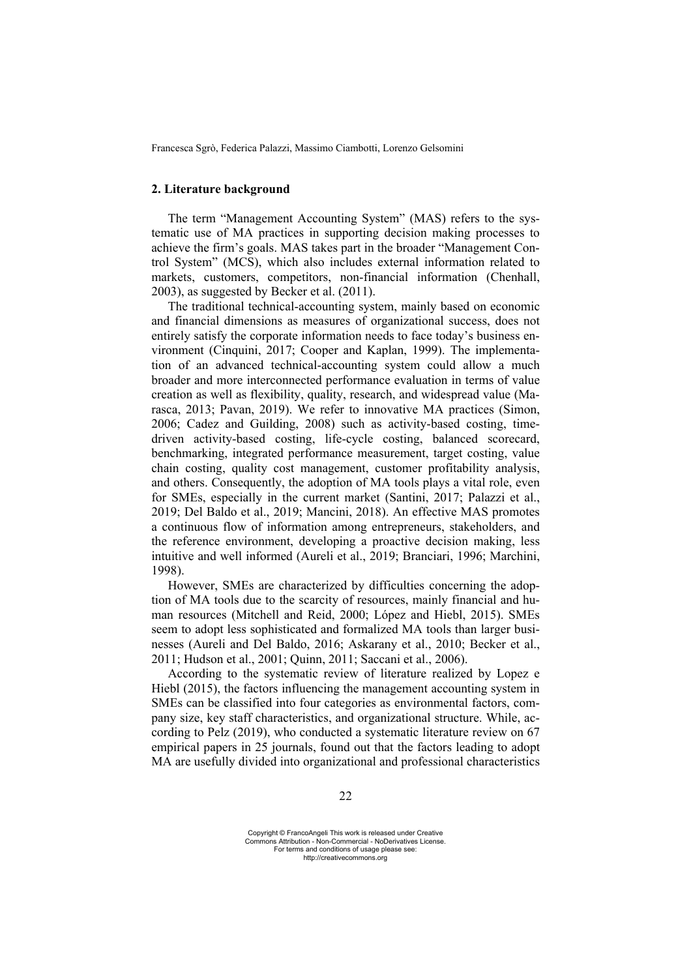## **2. Literature background**

The term "Management Accounting System" (MAS) refers to the systematic use of MA practices in supporting decision making processes to achieve the firm's goals. MAS takes part in the broader "Management Control System" (MCS), which also includes external information related to markets, customers, competitors, non-financial information (Chenhall, 2003), as suggested by Becker et al. (2011).

The traditional technical-accounting system, mainly based on economic and financial dimensions as measures of organizational success, does not entirely satisfy the corporate information needs to face today's business environment (Cinquini, 2017; Cooper and Kaplan, 1999). The implementation of an advanced technical-accounting system could allow a much broader and more interconnected performance evaluation in terms of value creation as well as flexibility, quality, research, and widespread value (Marasca, 2013; Pavan, 2019). We refer to innovative MA practices (Simon, 2006; Cadez and Guilding, 2008) such as activity-based costing, timedriven activity-based costing, life-cycle costing, balanced scorecard, benchmarking, integrated performance measurement, target costing, value chain costing, quality cost management, customer profitability analysis, and others. Consequently, the adoption of MA tools plays a vital role, even for SMEs, especially in the current market (Santini, 2017; Palazzi et al., 2019; Del Baldo et al., 2019; Mancini, 2018). An effective MAS promotes a continuous flow of information among entrepreneurs, stakeholders, and the reference environment, developing a proactive decision making, less intuitive and well informed (Aureli et al., 2019; Branciari, 1996; Marchini, 1998).

However, SMEs are characterized by difficulties concerning the adoption of MA tools due to the scarcity of resources, mainly financial and human resources (Mitchell and Reid, 2000; López and Hiebl, 2015). SMEs seem to adopt less sophisticated and formalized MA tools than larger businesses (Aureli and Del Baldo, 2016; Askarany et al., 2010; Becker et al., 2011; Hudson et al., 2001; Quinn, 2011; Saccani et al., 2006).

According to the systematic review of literature realized by Lopez e Hiebl (2015), the factors influencing the management accounting system in SMEs can be classified into four categories as environmental factors, company size, key staff characteristics, and organizational structure. While, according to Pelz (2019), who conducted a systematic literature review on 67 empirical papers in 25 journals, found out that the factors leading to adopt MA are usefully divided into organizational and professional characteristics

Copyright © FrancoAngeli This work is released under Creative Commons Attribution - Non-Commercial - NoDerivatives License. For terms and conditions of usage please see: http://creativecommons.org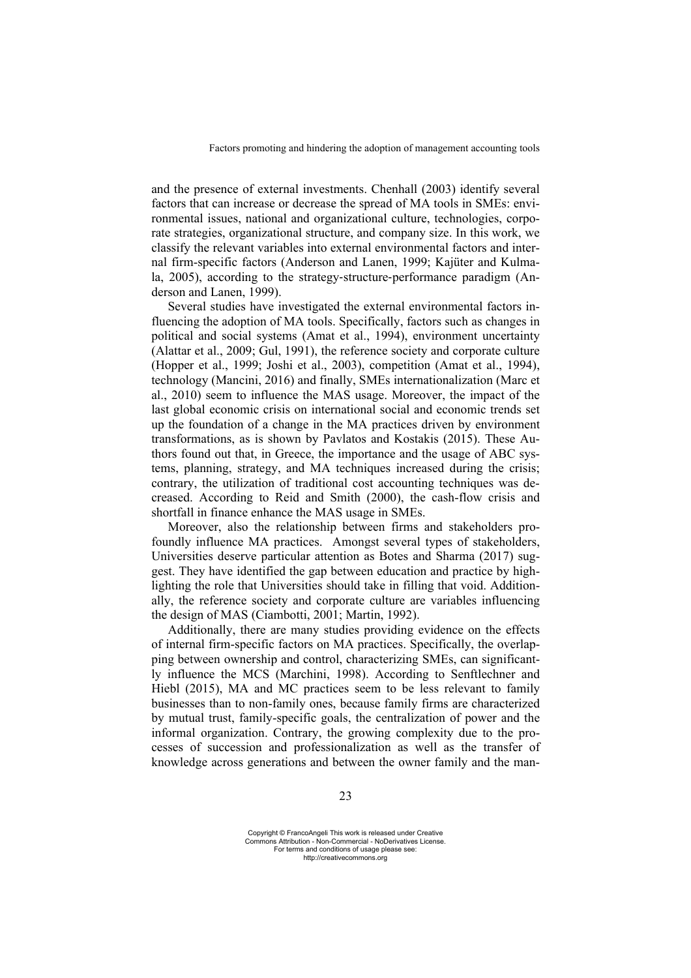and the presence of external investments. Chenhall (2003) identify several factors that can increase or decrease the spread of MA tools in SMEs: environmental issues, national and organizational culture, technologies, corporate strategies, organizational structure, and company size. In this work, we classify the relevant variables into external environmental factors and internal firm-specific factors (Anderson and Lanen, 1999; Kajüter and Kulmala, 2005), according to the strategy-structure-performance paradigm (Anderson and Lanen, 1999).

Several studies have investigated the external environmental factors influencing the adoption of MA tools. Specifically, factors such as changes in political and social systems (Amat et al., 1994), environment uncertainty (Alattar et al., 2009; Gul, 1991), the reference society and corporate culture (Hopper et al., 1999; Joshi et al., 2003), competition (Amat et al., 1994), technology (Mancini, 2016) and finally, SMEs internationalization (Marc et al., 2010) seem to influence the MAS usage. Moreover, the impact of the last global economic crisis on international social and economic trends set up the foundation of a change in the MA practices driven by environment transformations, as is shown by Pavlatos and Kostakis (2015). These Authors found out that, in Greece, the importance and the usage of ABC systems, planning, strategy, and MA techniques increased during the crisis; contrary, the utilization of traditional cost accounting techniques was decreased. According to Reid and Smith (2000), the cash-flow crisis and shortfall in finance enhance the MAS usage in SMEs.

Moreover, also the relationship between firms and stakeholders profoundly influence MA practices. Amongst several types of stakeholders, Universities deserve particular attention as Botes and Sharma (2017) suggest. They have identified the gap between education and practice by highlighting the role that Universities should take in filling that void. Additionally, the reference society and corporate culture are variables influencing the design of MAS (Ciambotti, 2001; Martin, 1992).

Additionally, there are many studies providing evidence on the effects of internal firm-specific factors on MA practices. Specifically, the overlapping between ownership and control, characterizing SMEs, can significantly influence the MCS (Marchini, 1998). According to Senftlechner and Hiebl (2015), MA and MC practices seem to be less relevant to family businesses than to non-family ones, because family firms are characterized by mutual trust, family-specific goals, the centralization of power and the informal organization. Contrary, the growing complexity due to the processes of succession and professionalization as well as the transfer of knowledge across generations and between the owner family and the man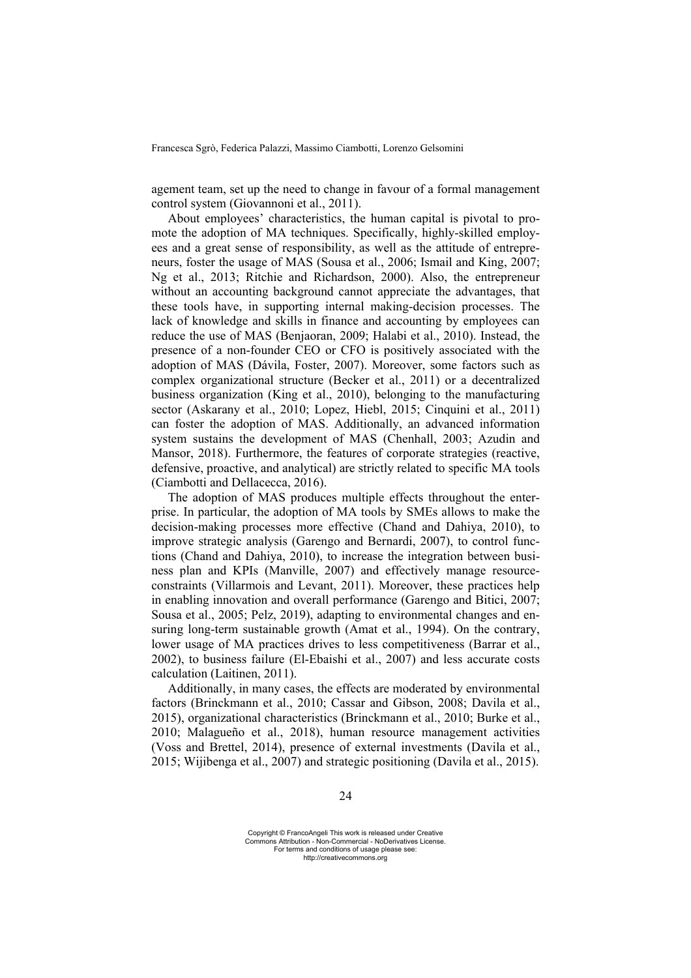agement team, set up the need to change in favour of a formal management control system (Giovannoni et al., 2011).

About employees' characteristics, the human capital is pivotal to promote the adoption of MA techniques. Specifically, highly-skilled employees and a great sense of responsibility, as well as the attitude of entrepreneurs, foster the usage of MAS (Sousa et al., 2006; Ismail and King, 2007; Ng et al., 2013; Ritchie and Richardson, 2000). Also, the entrepreneur without an accounting background cannot appreciate the advantages, that these tools have, in supporting internal making-decision processes. The lack of knowledge and skills in finance and accounting by employees can reduce the use of MAS (Benjaoran, 2009; Halabi et al., 2010). Instead, the presence of a non-founder CEO or CFO is positively associated with the adoption of MAS (Dávila, Foster, 2007). Moreover, some factors such as complex organizational structure (Becker et al., 2011) or a decentralized business organization (King et al., 2010), belonging to the manufacturing sector (Askarany et al., 2010; Lopez, Hiebl, 2015; Cinquini et al., 2011) can foster the adoption of MAS. Additionally, an advanced information system sustains the development of MAS (Chenhall, 2003; Azudin and Mansor, 2018). Furthermore, the features of corporate strategies (reactive, defensive, proactive, and analytical) are strictly related to specific MA tools (Ciambotti and Dellacecca, 2016).

The adoption of MAS produces multiple effects throughout the enterprise. In particular, the adoption of MA tools by SMEs allows to make the decision-making processes more effective (Chand and Dahiya, 2010), to improve strategic analysis (Garengo and Bernardi, 2007), to control functions (Chand and Dahiya, 2010), to increase the integration between business plan and KPIs (Manville, 2007) and effectively manage resourceconstraints (Villarmois and Levant, 2011). Moreover, these practices help in enabling innovation and overall performance (Garengo and Bitici, 2007; Sousa et al., 2005; Pelz, 2019), adapting to environmental changes and ensuring long-term sustainable growth (Amat et al., 1994). On the contrary, lower usage of MA practices drives to less competitiveness (Barrar et al., 2002), to business failure (El-Ebaishi et al., 2007) and less accurate costs calculation (Laitinen, 2011).

Additionally, in many cases, the effects are moderated by environmental factors (Brinckmann et al., 2010; Cassar and Gibson, 2008; Davila et al., 2015), organizational characteristics (Brinckmann et al., 2010; Burke et al., 2010; Malagueño et al., 2018), human resource management activities (Voss and Brettel, 2014), presence of external investments (Davila et al., 2015; Wijibenga et al., 2007) and strategic positioning (Davila et al., 2015).

Copyright © FrancoAngeli This work is released under Creative Commons Attribution - Non-Commercial - NoDerivatives License. For terms and conditions of usage please see: http://creativecommons.org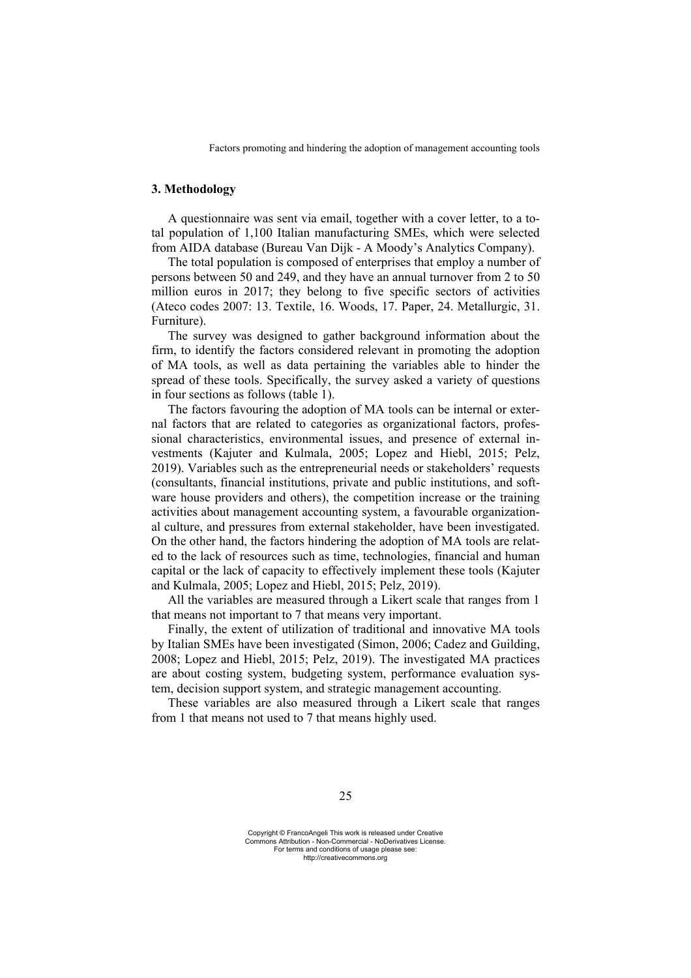# **3. Methodology**

A questionnaire was sent via email, together with a cover letter, to a total population of 1,100 Italian manufacturing SMEs, which were selected from AIDA database (Bureau Van Dijk - A Moody's Analytics Company).

The total population is composed of enterprises that employ a number of persons between 50 and 249, and they have an annual turnover from 2 to 50 million euros in 2017; they belong to five specific sectors of activities (Ateco codes 2007: 13. Textile, 16. Woods, 17. Paper, 24. Metallurgic, 31. Furniture).

The survey was designed to gather background information about the firm, to identify the factors considered relevant in promoting the adoption of MA tools, as well as data pertaining the variables able to hinder the spread of these tools. Specifically, the survey asked a variety of questions in four sections as follows (table 1).

The factors favouring the adoption of MA tools can be internal or external factors that are related to categories as organizational factors, professional characteristics, environmental issues, and presence of external investments (Kajuter and Kulmala, 2005; Lopez and Hiebl, 2015; Pelz, 2019). Variables such as the entrepreneurial needs or stakeholders' requests (consultants, financial institutions, private and public institutions, and software house providers and others), the competition increase or the training activities about management accounting system, a favourable organizational culture, and pressures from external stakeholder, have been investigated. On the other hand, the factors hindering the adoption of MA tools are related to the lack of resources such as time, technologies, financial and human capital or the lack of capacity to effectively implement these tools (Kajuter and Kulmala, 2005; Lopez and Hiebl, 2015; Pelz, 2019).

All the variables are measured through a Likert scale that ranges from 1 that means not important to 7 that means very important.

Finally, the extent of utilization of traditional and innovative MA tools by Italian SMEs have been investigated (Simon, 2006; Cadez and Guilding, 2008; Lopez and Hiebl, 2015; Pelz, 2019). The investigated MA practices are about costing system, budgeting system, performance evaluation system, decision support system, and strategic management accounting.

These variables are also measured through a Likert scale that ranges from 1 that means not used to 7 that means highly used.

Copyright © FrancoAngeli This work is released under Creative Commons Attribution - Non-Commercial - NoDerivatives License. For terms and conditions of usage please see: http://creativecommons.org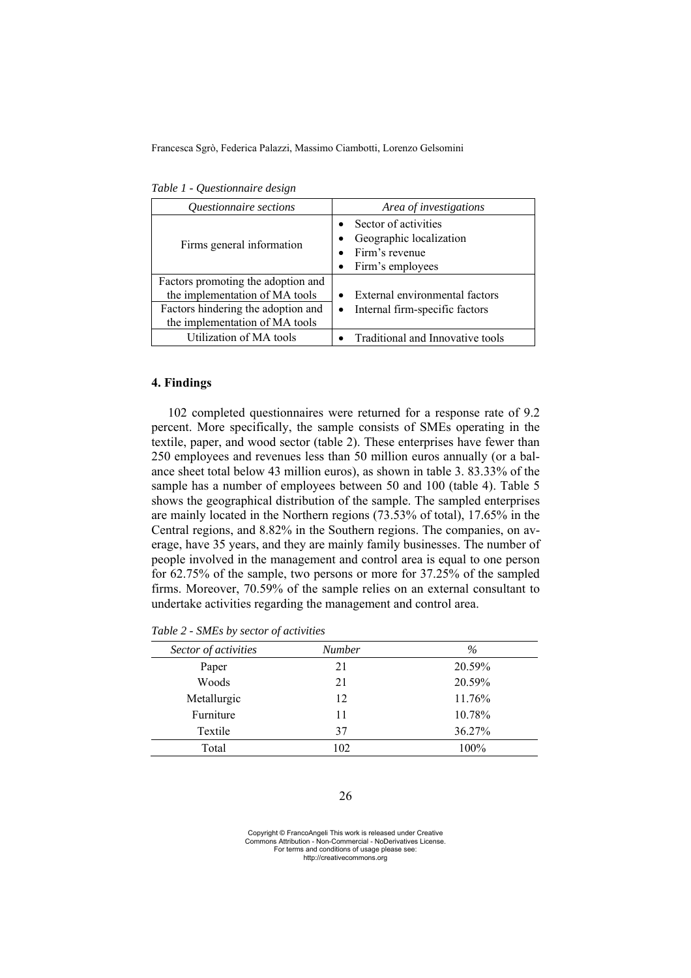| Questionnaire sections                                                                                                                       | Area of investigations                                                                |  |  |
|----------------------------------------------------------------------------------------------------------------------------------------------|---------------------------------------------------------------------------------------|--|--|
| Firms general information                                                                                                                    | Sector of activities<br>Geographic localization<br>Firm's revenue<br>Firm's employees |  |  |
| Factors promoting the adoption and<br>the implementation of MA tools<br>Factors hindering the adoption and<br>the implementation of MA tools | External environmental factors<br>Internal firm-specific factors                      |  |  |
| Utilization of MA tools                                                                                                                      | Traditional and Innovative tools                                                      |  |  |

*Table 1 - Questionnaire design* 

### **4. Findings**

102 completed questionnaires were returned for a response rate of 9.2 percent. More specifically, the sample consists of SMEs operating in the textile, paper, and wood sector (table 2). These enterprises have fewer than 250 employees and revenues less than 50 million euros annually (or a balance sheet total below 43 million euros), as shown in table 3. 83.33% of the sample has a number of employees between 50 and 100 (table 4). Table 5 shows the geographical distribution of the sample. The sampled enterprises are mainly located in the Northern regions (73.53% of total), 17.65% in the Central regions, and 8.82% in the Southern regions. The companies, on average, have 35 years, and they are mainly family businesses. The number of people involved in the management and control area is equal to one person for 62.75% of the sample, two persons or more for 37.25% of the sampled firms. Moreover, 70.59% of the sample relies on an external consultant to undertake activities regarding the management and control area.

| Sector of activities | <b>Number</b> | $\%$   |
|----------------------|---------------|--------|
| Paper                | 21            | 20.59% |
| Woods                | 21            | 20.59% |
| Metallurgic          | 12            | 11.76% |
| Furniture            | 11            | 10.78% |
| Textile              | 37            | 36.27% |
| Total                | 102           | 100%   |

*Table 2 - SMEs by sector of activities* 

Copyright © FrancoAngeli This work is released under Creative Commons Attribution - Non-Commercial - NoDerivatives License. For terms and conditions of usage please see: http://creativecommons.org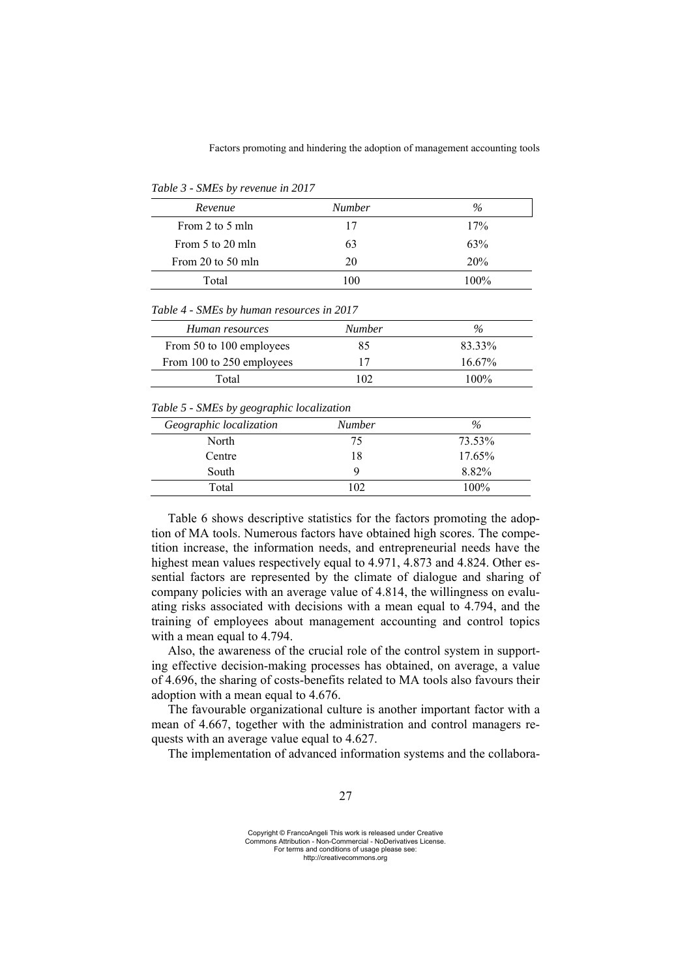| Revenue           | <b>Number</b> | $\%$    |
|-------------------|---------------|---------|
| From 2 to 5 mln   | 17            | 17%     |
| From 5 to 20 mln  | 63            | 63%     |
| From 20 to 50 mln | 20            | 20%     |
| Total             | 100           | $100\%$ |

*Table 3 - SMEs by revenue in 2017* 

*Table 4 - SMEs by human resources in 2017* 

| Human resources           | <b>Number</b> | $\%$      |
|---------------------------|---------------|-----------|
| From 50 to 100 employees  | 85            | 83.33%    |
| From 100 to 250 employees |               | $16.67\%$ |
| Total                     | 102           | $100\%$   |

*Table 5 - SMEs by geographic localization* 

| Geographic localization | Number | $\%$   |
|-------------------------|--------|--------|
| North                   | 75     | 73.53% |
| Centre                  | 18     | 17.65% |
| South                   | Q      | 8.82%  |
| Total                   | 102    | 100%   |

Table 6 shows descriptive statistics for the factors promoting the adoption of MA tools. Numerous factors have obtained high scores. The competition increase, the information needs, and entrepreneurial needs have the highest mean values respectively equal to 4.971, 4.873 and 4.824. Other essential factors are represented by the climate of dialogue and sharing of company policies with an average value of 4.814, the willingness on evaluating risks associated with decisions with a mean equal to 4.794, and the training of employees about management accounting and control topics with a mean equal to 4.794.

Also, the awareness of the crucial role of the control system in supporting effective decision-making processes has obtained, on average, a value of 4.696, the sharing of costs-benefits related to MA tools also favours their adoption with a mean equal to 4.676.

The favourable organizational culture is another important factor with a mean of 4.667, together with the administration and control managers requests with an average value equal to 4.627.

The implementation of advanced information systems and the collabora-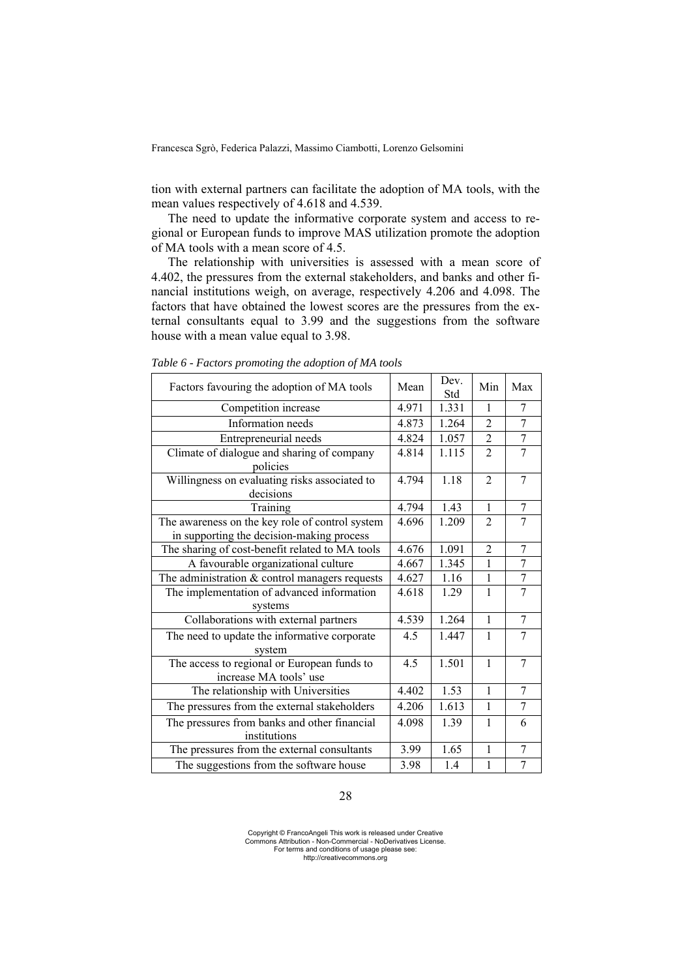tion with external partners can facilitate the adoption of MA tools, with the mean values respectively of 4.618 and 4.539.

The need to update the informative corporate system and access to regional or European funds to improve MAS utilization promote the adoption of MA tools with a mean score of 4.5.

The relationship with universities is assessed with a mean score of 4.402, the pressures from the external stakeholders, and banks and other financial institutions weigh, on average, respectively 4.206 and 4.098. The factors that have obtained the lowest scores are the pressures from the external consultants equal to 3.99 and the suggestions from the software house with a mean value equal to 3.98.

| Factors favouring the adoption of MA tools                                                   | Mean  | Dev.<br>Std | Min            | Max            |
|----------------------------------------------------------------------------------------------|-------|-------------|----------------|----------------|
| Competition increase                                                                         | 4.971 | 1.331       | 1              | 7              |
| Information needs                                                                            | 4.873 | 1.264       | $\overline{2}$ | 7              |
| Entrepreneurial needs                                                                        | 4.824 | 1.057       | $\overline{2}$ | $\tau$         |
| Climate of dialogue and sharing of company<br>policies                                       | 4.814 | 1.115       | $\overline{2}$ | $\overline{7}$ |
| Willingness on evaluating risks associated to<br>decisions                                   | 4.794 | 1.18        | $\overline{2}$ | $\tau$         |
| Training                                                                                     | 4.794 | 1.43        | $\mathbf{1}$   | 7              |
| The awareness on the key role of control system<br>in supporting the decision-making process | 4.696 | 1.209       | $\mathfrak{D}$ | 7              |
| The sharing of cost-benefit related to MA tools                                              | 4.676 | 1.091       | $\overline{2}$ | $\tau$         |
| A favourable organizational culture                                                          | 4.667 | 1.345       | 1              | 7              |
| The administration & control managers requests                                               | 4.627 | 1.16        | 1              | 7              |
| The implementation of advanced information<br>systems                                        | 4.618 | 1.29        | 1              | $\overline{7}$ |
| Collaborations with external partners                                                        | 4.539 | 1.264       | $\mathbf{1}$   | 7              |
| The need to update the informative corporate<br>system                                       | 4.5   | 1.447       | 1              | 7              |
| The access to regional or European funds to<br>increase MA tools' use                        | 4.5   | 1.501       | $\mathbf{1}$   | 7              |
| The relationship with Universities                                                           | 4.402 | 1.53        | $\mathbf{1}$   | $\overline{7}$ |
| The pressures from the external stakeholders                                                 | 4.206 | 1.613       | $\mathbf{1}$   | 7              |
| The pressures from banks and other financial<br>institutions                                 | 4.098 | 1.39        | $\mathbf{1}$   | 6              |
| The pressures from the external consultants                                                  | 3.99  | 1.65        | $\mathbf{1}$   | $\tau$         |
| The suggestions from the software house                                                      | 3.98  | 1.4         | $\mathbf{1}$   | $\overline{7}$ |

*Table 6 - Factors promoting the adoption of MA tools* 

#### 28

Copyright © FrancoAngeli This work is released under Creative Commons Attribution - Non-Commercial - NoDerivatives License. For terms and conditions of usage please see: http://creativecommons.org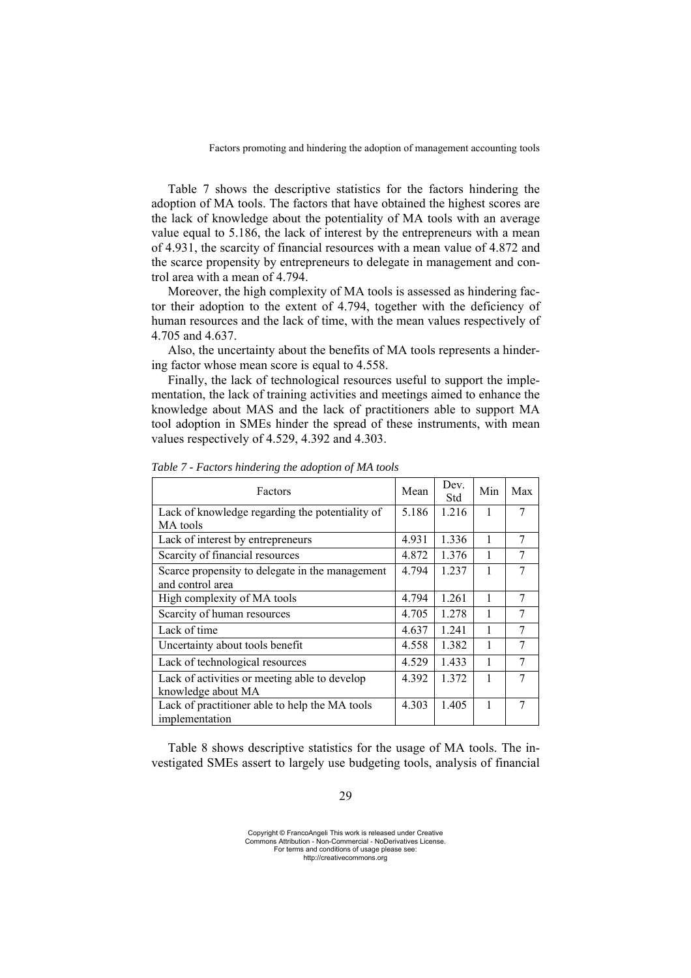Table 7 shows the descriptive statistics for the factors hindering the adoption of MA tools. The factors that have obtained the highest scores are the lack of knowledge about the potentiality of MA tools with an average value equal to 5.186, the lack of interest by the entrepreneurs with a mean of 4.931, the scarcity of financial resources with a mean value of 4.872 and the scarce propensity by entrepreneurs to delegate in management and control area with a mean of 4.794.

Moreover, the high complexity of MA tools is assessed as hindering factor their adoption to the extent of 4.794, together with the deficiency of human resources and the lack of time, with the mean values respectively of 4.705 and 4.637.

Also, the uncertainty about the benefits of MA tools represents a hindering factor whose mean score is equal to 4.558.

Finally, the lack of technological resources useful to support the implementation, the lack of training activities and meetings aimed to enhance the knowledge about MAS and the lack of practitioners able to support MA tool adoption in SMEs hinder the spread of these instruments, with mean values respectively of 4.529, 4.392 and 4.303.

| Factors                                                             | Mean  | Dev.<br>Std | Min | Max |
|---------------------------------------------------------------------|-------|-------------|-----|-----|
| Lack of knowledge regarding the potentiality of                     | 5.186 | 1.216       |     | 7   |
| MA tools                                                            |       |             |     |     |
| Lack of interest by entrepreneurs                                   | 4.931 | 1.336       |     | 7   |
| Scarcity of financial resources                                     | 4.872 | 1.376       | 1   |     |
| Scarce propensity to delegate in the management<br>and control area | 4.794 | 1.237       |     | 7   |
|                                                                     |       |             |     |     |
| High complexity of MA tools                                         | 4.794 | 1.261       |     | 7   |
| Scarcity of human resources                                         | 4.705 | 1.278       |     | 7   |
| Lack of time                                                        | 4.637 | 1.241       |     | 7   |
| Uncertainty about tools benefit                                     | 4.558 | 1.382       |     | 7   |
| Lack of technological resources                                     | 4.529 | 1.433       | 1   | 7   |
| Lack of activities or meeting able to develop                       | 4.392 | 1.372       |     | 7   |
| knowledge about MA                                                  |       |             |     |     |
| Lack of practitioner able to help the MA tools<br>implementation    | 4.303 | 1.405       |     | 7   |

*Table 7 - Factors hindering the adoption of MA tools* 

Table 8 shows descriptive statistics for the usage of MA tools. The investigated SMEs assert to largely use budgeting tools, analysis of financial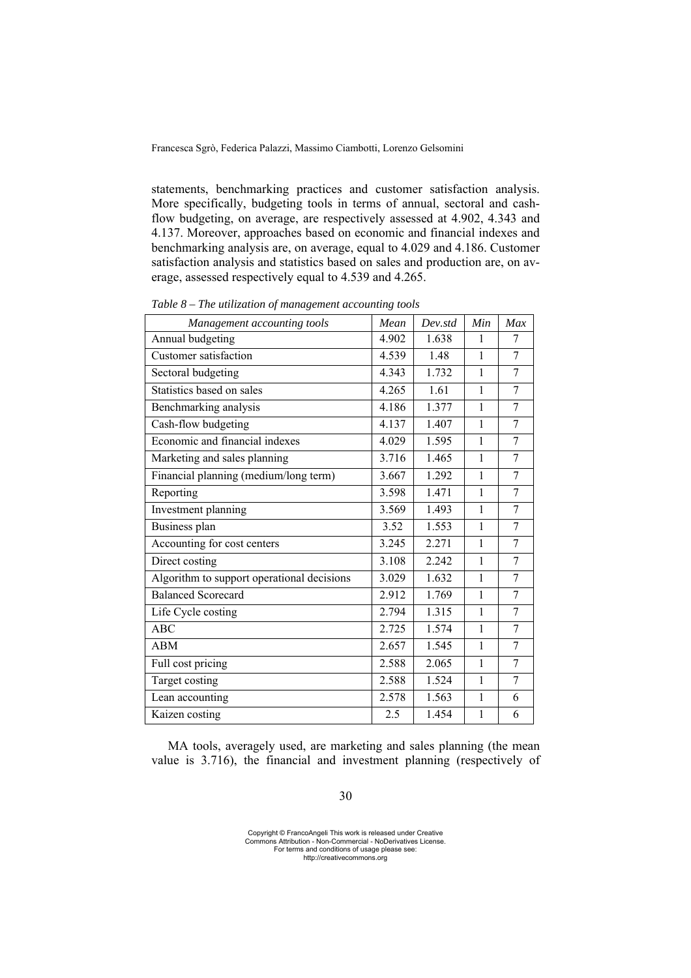statements, benchmarking practices and customer satisfaction analysis. More specifically, budgeting tools in terms of annual, sectoral and cashflow budgeting, on average, are respectively assessed at 4.902, 4.343 and 4.137. Moreover, approaches based on economic and financial indexes and benchmarking analysis are, on average, equal to 4.029 and 4.186. Customer satisfaction analysis and statistics based on sales and production are, on average, assessed respectively equal to 4.539 and 4.265.

| Management accounting tools                | Mean  | Dev <sub>std</sub> | Min          | Max |
|--------------------------------------------|-------|--------------------|--------------|-----|
| Annual budgeting                           | 4.902 | 1.638              | 1            | 7   |
| Customer satisfaction                      | 4.539 | 1.48               | 1            | 7   |
| Sectoral budgeting                         | 4.343 | 1.732              | 1            | 7   |
| Statistics based on sales                  | 4.265 | 1.61               | $\mathbf{1}$ | 7   |
| Benchmarking analysis                      | 4.186 | 1.377              | 1            | 7   |
| Cash-flow budgeting                        | 4.137 | 1.407              | $\mathbf{1}$ | 7   |
| Economic and financial indexes             | 4.029 | 1.595              | $\mathbf{1}$ | 7   |
| Marketing and sales planning               | 3.716 | 1.465              | $\mathbf{1}$ | 7   |
| Financial planning (medium/long term)      | 3.667 | 1.292              | $\mathbf{1}$ | 7   |
| Reporting                                  | 3.598 | 1.471              | $\mathbf{1}$ | 7   |
| Investment planning                        | 3.569 | 1.493              | $\mathbf{1}$ | 7   |
| Business plan                              | 3.52  | 1.553              | 1            | 7   |
| Accounting for cost centers                | 3.245 | 2.271              | 1            | 7   |
| Direct costing                             | 3.108 | 2.242              | $\mathbf{1}$ | 7   |
| Algorithm to support operational decisions | 3.029 | 1.632              | 1            | 7   |
| <b>Balanced Scorecard</b>                  | 2.912 | 1.769              | $\mathbf{1}$ | 7   |
| Life Cycle costing                         | 2.794 | 1.315              | $\mathbf{1}$ | 7   |
| ABC                                        | 2.725 | 1.574              | $\mathbf{1}$ | 7   |
| <b>ABM</b>                                 | 2.657 | 1.545              | $\mathbf{1}$ | 7   |
| Full cost pricing                          | 2.588 | 2.065              | $\mathbf{1}$ | 7   |
| Target costing                             | 2.588 | 1.524              | 1            | 7   |
| Lean accounting                            | 2.578 | 1.563              | $\mathbf{1}$ | 6   |
| Kaizen costing                             | 2.5   | 1.454              | $\mathbf{1}$ | 6   |

*Table 8 – The utilization of management accounting tools* 

MA tools, averagely used, are marketing and sales planning (the mean value is 3.716), the financial and investment planning (respectively of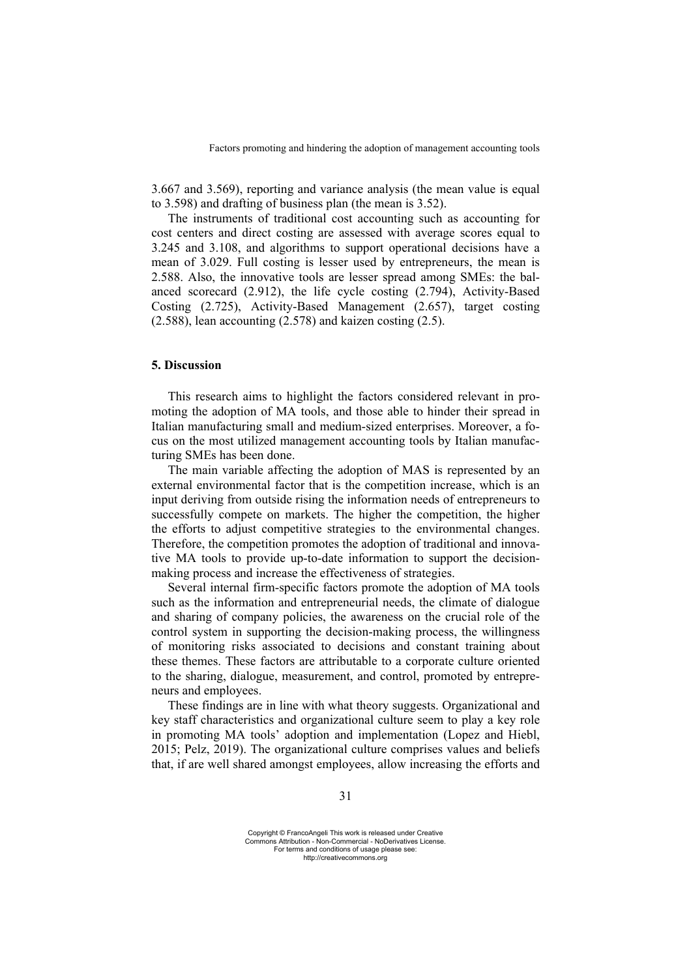3.667 and 3.569), reporting and variance analysis (the mean value is equal to 3.598) and drafting of business plan (the mean is 3.52).

The instruments of traditional cost accounting such as accounting for cost centers and direct costing are assessed with average scores equal to 3.245 and 3.108, and algorithms to support operational decisions have a mean of 3.029. Full costing is lesser used by entrepreneurs, the mean is 2.588. Also, the innovative tools are lesser spread among SMEs: the balanced scorecard (2.912), the life cycle costing (2.794), Activity-Based Costing (2.725), Activity-Based Management (2.657), target costing (2.588), lean accounting (2.578) and kaizen costing (2.5).

### **5. Discussion**

This research aims to highlight the factors considered relevant in promoting the adoption of MA tools, and those able to hinder their spread in Italian manufacturing small and medium-sized enterprises. Moreover, a focus on the most utilized management accounting tools by Italian manufacturing SMEs has been done.

The main variable affecting the adoption of MAS is represented by an external environmental factor that is the competition increase, which is an input deriving from outside rising the information needs of entrepreneurs to successfully compete on markets. The higher the competition, the higher the efforts to adjust competitive strategies to the environmental changes. Therefore, the competition promotes the adoption of traditional and innovative MA tools to provide up-to-date information to support the decisionmaking process and increase the effectiveness of strategies.

Several internal firm-specific factors promote the adoption of MA tools such as the information and entrepreneurial needs, the climate of dialogue and sharing of company policies, the awareness on the crucial role of the control system in supporting the decision-making process, the willingness of monitoring risks associated to decisions and constant training about these themes. These factors are attributable to a corporate culture oriented to the sharing, dialogue, measurement, and control, promoted by entrepreneurs and employees.

These findings are in line with what theory suggests. Organizational and key staff characteristics and organizational culture seem to play a key role in promoting MA tools' adoption and implementation (Lopez and Hiebl, 2015; Pelz, 2019). The organizational culture comprises values and beliefs that, if are well shared amongst employees, allow increasing the efforts and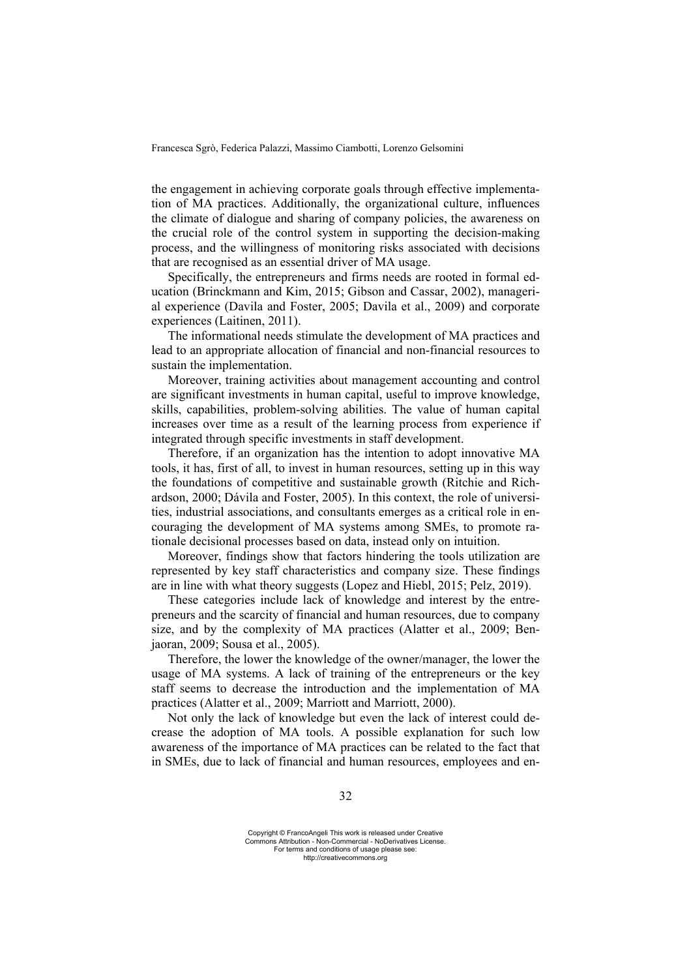the engagement in achieving corporate goals through effective implementation of MA practices. Additionally, the organizational culture, influences the climate of dialogue and sharing of company policies, the awareness on the crucial role of the control system in supporting the decision-making process, and the willingness of monitoring risks associated with decisions that are recognised as an essential driver of MA usage.

Specifically, the entrepreneurs and firms needs are rooted in formal education (Brinckmann and Kim, 2015; Gibson and Cassar, 2002), managerial experience (Davila and Foster, 2005; Davila et al., 2009) and corporate experiences (Laitinen, 2011).

The informational needs stimulate the development of MA practices and lead to an appropriate allocation of financial and non-financial resources to sustain the implementation.

Moreover, training activities about management accounting and control are significant investments in human capital, useful to improve knowledge, skills, capabilities, problem-solving abilities. The value of human capital increases over time as a result of the learning process from experience if integrated through specific investments in staff development.

Therefore, if an organization has the intention to adopt innovative MA tools, it has, first of all, to invest in human resources, setting up in this way the foundations of competitive and sustainable growth (Ritchie and Richardson, 2000; Dávila and Foster, 2005). In this context, the role of universities, industrial associations, and consultants emerges as a critical role in encouraging the development of MA systems among SMEs, to promote rationale decisional processes based on data, instead only on intuition.

Moreover, findings show that factors hindering the tools utilization are represented by key staff characteristics and company size. These findings are in line with what theory suggests (Lopez and Hiebl, 2015; Pelz, 2019).

These categories include lack of knowledge and interest by the entrepreneurs and the scarcity of financial and human resources, due to company size, and by the complexity of MA practices (Alatter et al., 2009; Benjaoran, 2009; Sousa et al., 2005).

Therefore, the lower the knowledge of the owner/manager, the lower the usage of MA systems. A lack of training of the entrepreneurs or the key staff seems to decrease the introduction and the implementation of MA practices (Alatter et al., 2009; Marriott and Marriott, 2000).

Not only the lack of knowledge but even the lack of interest could decrease the adoption of MA tools. A possible explanation for such low awareness of the importance of MA practices can be related to the fact that in SMEs, due to lack of financial and human resources, employees and en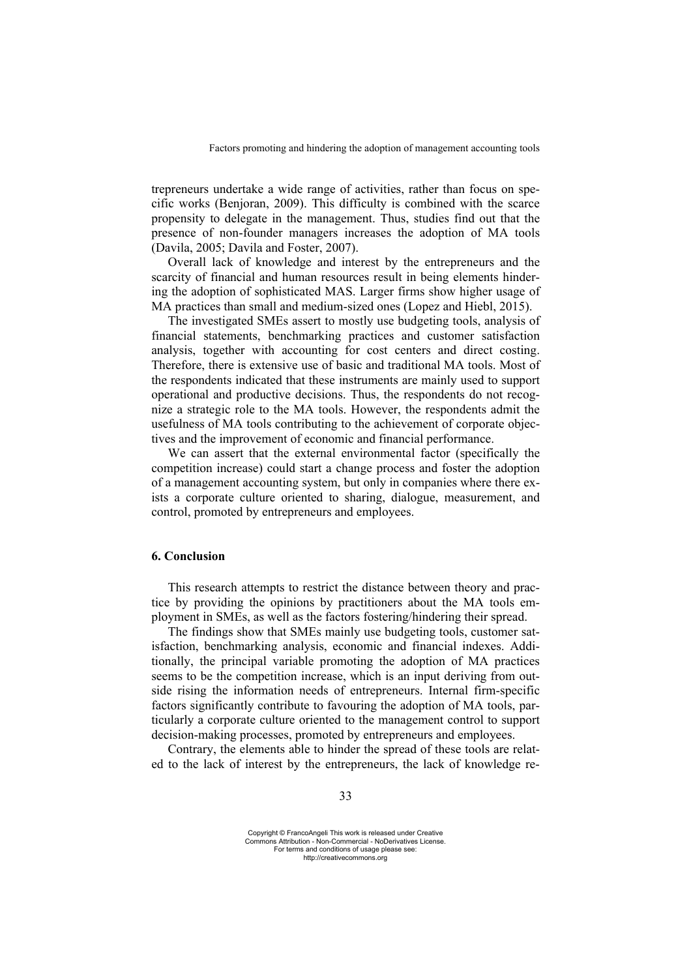trepreneurs undertake a wide range of activities, rather than focus on specific works (Benjoran, 2009). This difficulty is combined with the scarce propensity to delegate in the management. Thus, studies find out that the presence of non-founder managers increases the adoption of MA tools (Davila, 2005; Davila and Foster, 2007).

Overall lack of knowledge and interest by the entrepreneurs and the scarcity of financial and human resources result in being elements hindering the adoption of sophisticated MAS. Larger firms show higher usage of MA practices than small and medium-sized ones (Lopez and Hiebl, 2015).

The investigated SMEs assert to mostly use budgeting tools, analysis of financial statements, benchmarking practices and customer satisfaction analysis, together with accounting for cost centers and direct costing. Therefore, there is extensive use of basic and traditional MA tools. Most of the respondents indicated that these instruments are mainly used to support operational and productive decisions. Thus, the respondents do not recognize a strategic role to the MA tools. However, the respondents admit the usefulness of MA tools contributing to the achievement of corporate objectives and the improvement of economic and financial performance.

We can assert that the external environmental factor (specifically the competition increase) could start a change process and foster the adoption of a management accounting system, but only in companies where there exists a corporate culture oriented to sharing, dialogue, measurement, and control, promoted by entrepreneurs and employees.

### **6. Conclusion**

This research attempts to restrict the distance between theory and practice by providing the opinions by practitioners about the MA tools employment in SMEs, as well as the factors fostering/hindering their spread.

The findings show that SMEs mainly use budgeting tools, customer satisfaction, benchmarking analysis, economic and financial indexes. Additionally, the principal variable promoting the adoption of MA practices seems to be the competition increase, which is an input deriving from outside rising the information needs of entrepreneurs. Internal firm-specific factors significantly contribute to favouring the adoption of MA tools, particularly a corporate culture oriented to the management control to support decision-making processes, promoted by entrepreneurs and employees.

Contrary, the elements able to hinder the spread of these tools are related to the lack of interest by the entrepreneurs, the lack of knowledge re-

Copyright © FrancoAngeli This work is released under Creative Commons Attribution - Non-Commercial - NoDerivatives License. For terms and conditions of usage please see: http://creativecommons.org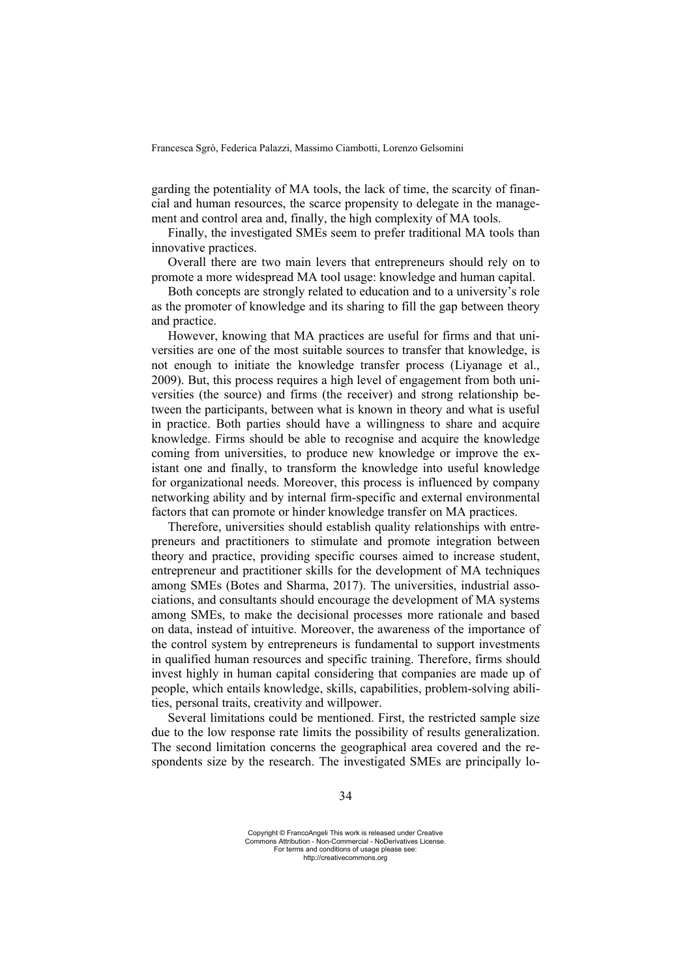garding the potentiality of MA tools, the lack of time, the scarcity of financial and human resources, the scarce propensity to delegate in the management and control area and, finally, the high complexity of MA tools.

Finally, the investigated SMEs seem to prefer traditional MA tools than innovative practices.

Overall there are two main levers that entrepreneurs should rely on to promote a more widespread MA tool usage: knowledge and human capital.

Both concepts are strongly related to education and to a university's role as the promoter of knowledge and its sharing to fill the gap between theory and practice.

However, knowing that MA practices are useful for firms and that universities are one of the most suitable sources to transfer that knowledge, is not enough to initiate the knowledge transfer process (Liyanage et al., 2009). But, this process requires a high level of engagement from both universities (the source) and firms (the receiver) and strong relationship between the participants, between what is known in theory and what is useful in practice. Both parties should have a willingness to share and acquire knowledge. Firms should be able to recognise and acquire the knowledge coming from universities, to produce new knowledge or improve the existant one and finally, to transform the knowledge into useful knowledge for organizational needs. Moreover, this process is influenced by company networking ability and by internal firm-specific and external environmental factors that can promote or hinder knowledge transfer on MA practices.

Therefore, universities should establish quality relationships with entrepreneurs and practitioners to stimulate and promote integration between theory and practice, providing specific courses aimed to increase student, entrepreneur and practitioner skills for the development of MA techniques among SMEs (Botes and Sharma, 2017). The universities, industrial associations, and consultants should encourage the development of MA systems among SMEs, to make the decisional processes more rationale and based on data, instead of intuitive. Moreover, the awareness of the importance of the control system by entrepreneurs is fundamental to support investments in qualified human resources and specific training. Therefore, firms should invest highly in human capital considering that companies are made up of people, which entails knowledge, skills, capabilities, problem-solving abilities, personal traits, creativity and willpower.

Several limitations could be mentioned. First, the restricted sample size due to the low response rate limits the possibility of results generalization. The second limitation concerns the geographical area covered and the respondents size by the research. The investigated SMEs are principally lo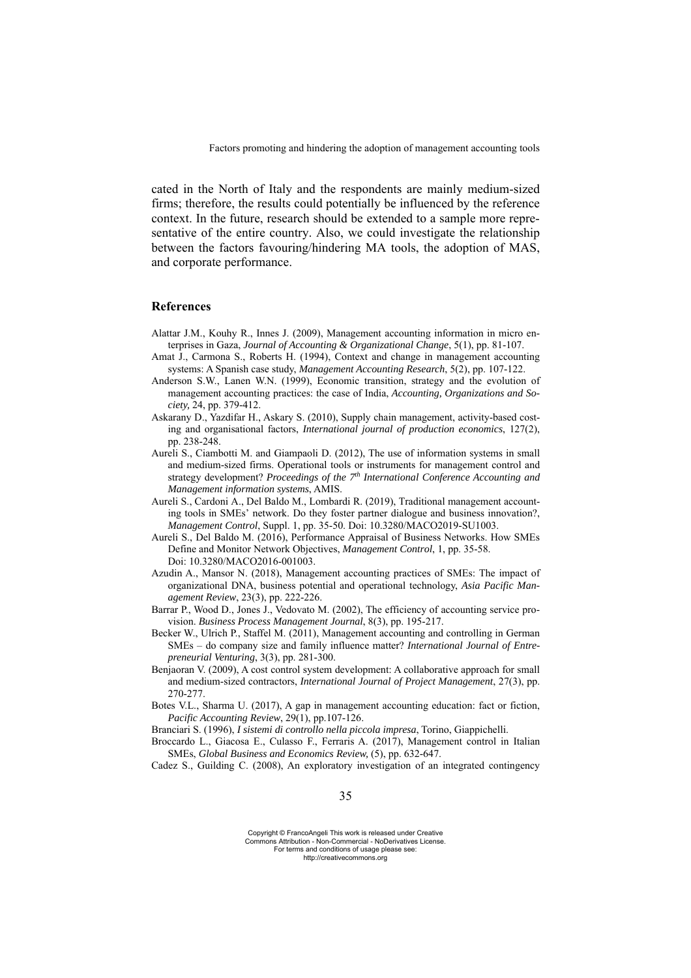cated in the North of Italy and the respondents are mainly medium-sized firms; therefore, the results could potentially be influenced by the reference context. In the future, research should be extended to a sample more representative of the entire country. Also, we could investigate the relationship between the factors favouring/hindering MA tools, the adoption of MAS, and corporate performance.

# **References**

- Alattar J.M., Kouhy R., Innes J. (2009), Management accounting information in micro enterprises in Gaza, *Journal of Accounting & Organizational Change*, 5(1), pp. 81-107.
- Amat J., Carmona S., Roberts H. (1994), Context and change in management accounting systems: A Spanish case study, *Management Accounting Research*, 5(2), pp. 107-122.
- Anderson S.W., Lanen W.N. (1999), Economic transition, strategy and the evolution of management accounting practices: the case of India, *Accounting, Organizations and Society,* 24, pp. 379-412.
- Askarany D., Yazdifar H., Askary S. (2010), Supply chain management, activity-based costing and organisational factors, *International journal of production economics*, 127(2), pp. 238-248.
- Aureli S., Ciambotti M. and Giampaoli D. (2012), The use of information systems in small and medium-sized firms. Operational tools or instruments for management control and strategy development? *Proceedings of the 7th International Conference Accounting and Management information systems*, AMIS.
- Aureli S., Cardoni A., Del Baldo M., Lombardi R. (2019), Traditional management accounting tools in SMEs' network. Do they foster partner dialogue and business innovation?, *Management Control*, Suppl. 1, pp. 35-50. Doi: 10.3280/MACO2019-SU1003.
- Aureli S., Del Baldo M. (2016), Performance Appraisal of Business Networks. How SMEs Define and Monitor Network Objectives, *Management Control*, 1, pp. 35-58. Doi: 10.3280/MACO2016-001003.
- Azudin A., Mansor N. (2018), Management accounting practices of SMEs: The impact of organizational DNA, business potential and operational technology, *Asia Pacific Management Review*, 23(3), pp. 222-226.
- Barrar P., Wood D., Jones J., Vedovato M. (2002), The efficiency of accounting service provision. *Business Process Management Journal*, 8(3), pp. 195-217.
- Becker W., Ulrich P., Staffel M. (2011), Management accounting and controlling in German SMEs – do company size and family influence matter? *International Journal of Entrepreneurial Venturing*, 3(3), pp. 281-300.
- Benjaoran V. (2009), A cost control system development: A collaborative approach for small and medium-sized contractors, *International Journal of Project Management*, 27(3), pp. 270-277.
- Botes V.L., Sharma U. (2017), A gap in management accounting education: fact or fiction, *Pacific Accounting Review*, 29(1), pp.107-126.
- Branciari S. (1996), *I sistemi di controllo nella piccola impresa*, Torino, Giappichelli.
- Broccardo L., Giacosa E., Culasso F., Ferraris A. (2017), Management control in Italian SMEs, *Global Business and Economics Review,* (5), pp. 632-647.
- Cadez S., Guilding C. (2008), An exploratory investigation of an integrated contingency

Copyright © FrancoAngeli This work is released under Creative Commons Attribution - Non-Commercial - NoDerivatives License. For terms and conditions of usage please see: http://creativecommons.org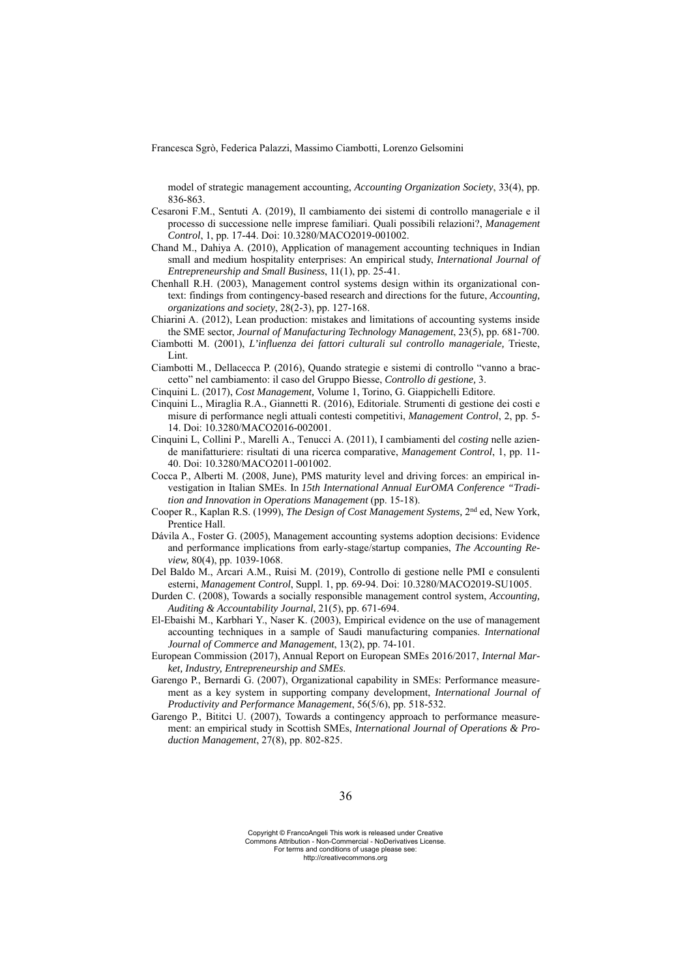model of strategic management accounting, *Accounting Organization Society*, 33(4), pp. 836-863.

- Cesaroni F.M., Sentuti A. (2019), Il cambiamento dei sistemi di controllo manageriale e il processo di successione nelle imprese familiari. Quali possibili relazioni?, *Management Control*, 1, pp. 17-44. Doi: 10.3280/MACO2019-001002.
- Chand M., Dahiya A. (2010), Application of management accounting techniques in Indian small and medium hospitality enterprises: An empirical study, *International Journal of Entrepreneurship and Small Business*, 11(1), pp. 25-41.
- Chenhall R.H. (2003), Management control systems design within its organizational context: findings from contingency-based research and directions for the future, *Accounting, organizations and society*, 28(2-3), pp. 127-168.
- Chiarini A. (2012), Lean production: mistakes and limitations of accounting systems inside the SME sector, *Journal of Manufacturing Technology Management*, 23(5), pp. 681-700.
- Ciambotti M. (2001), *L'influenza dei fattori culturali sul controllo manageriale,* Trieste, Lint.
- Ciambotti M., Dellacecca P. (2016), Quando strategie e sistemi di controllo "vanno a braccetto" nel cambiamento: il caso del Gruppo Biesse, *Controllo di gestione,* 3.
- Cinquini L. (2017), *Cost Management,* Volume 1, Torino, G. Giappichelli Editore.
- Cinquini L., Miraglia R.A., Giannetti R. (2016), Editoriale. Strumenti di gestione dei costi e misure di performance negli attuali contesti competitivi, *Management Control*, 2, pp. 5- 14. Doi: 10.3280/MACO2016-002001.
- Cinquini L, Collini P., Marelli A., Tenucci A. (2011), I cambiamenti del *costing* nelle aziende manifatturiere: risultati di una ricerca comparative, *Management Control*, 1, pp. 11- 40. Doi: 10.3280/MACO2011-001002.
- Cocca P., Alberti M. (2008, June), PMS maturity level and driving forces: an empirical investigation in Italian SMEs. In *15th International Annual EurOMA Conference "Tradition and Innovation in Operations Management* (pp. 15-18).
- Cooper R., Kaplan R.S. (1999), *The Design of Cost Management Systems,* 2nd ed, New York, Prentice Hall.
- Dávila A., Foster G. (2005), Management accounting systems adoption decisions: Evidence and performance implications from early-stage/startup companies, *The Accounting Review,* 80(4), pp. 1039-1068.
- Del Baldo M., Arcari A.M., Ruisi M. (2019), Controllo di gestione nelle PMI e consulenti esterni, *Management Control*, Suppl. 1, pp. 69-94. Doi: 10.3280/MACO2019-SU1005.
- Durden C. (2008), Towards a socially responsible management control system, *Accounting, Auditing & Accountability Journal*, 21(5), pp. 671-694.
- El-Ebaishi M., Karbhari Y., Naser K. (2003), Empirical evidence on the use of management accounting techniques in a sample of Saudi manufacturing companies. *International Journal of Commerce and Management*, 13(2), pp. 74-101.
- European Commission (2017), Annual Report on European SMEs 2016/2017, *Internal Market, Industry, Entrepreneurship and SMEs*.
- Garengo P., Bernardi G. (2007), Organizational capability in SMEs: Performance measurement as a key system in supporting company development, *International Journal of Productivity and Performance Management*, 56(5/6), pp. 518-532.
- Garengo P., Bititci U. (2007), Towards a contingency approach to performance measurement: an empirical study in Scottish SMEs, *International Journal of Operations & Production Management*, 27(8), pp. 802-825.

Copyright © FrancoAngeli This work is released under Creative Commons Attribution - Non-Commercial - NoDerivatives License. For terms and conditions of usage please see: http://creativecommons.org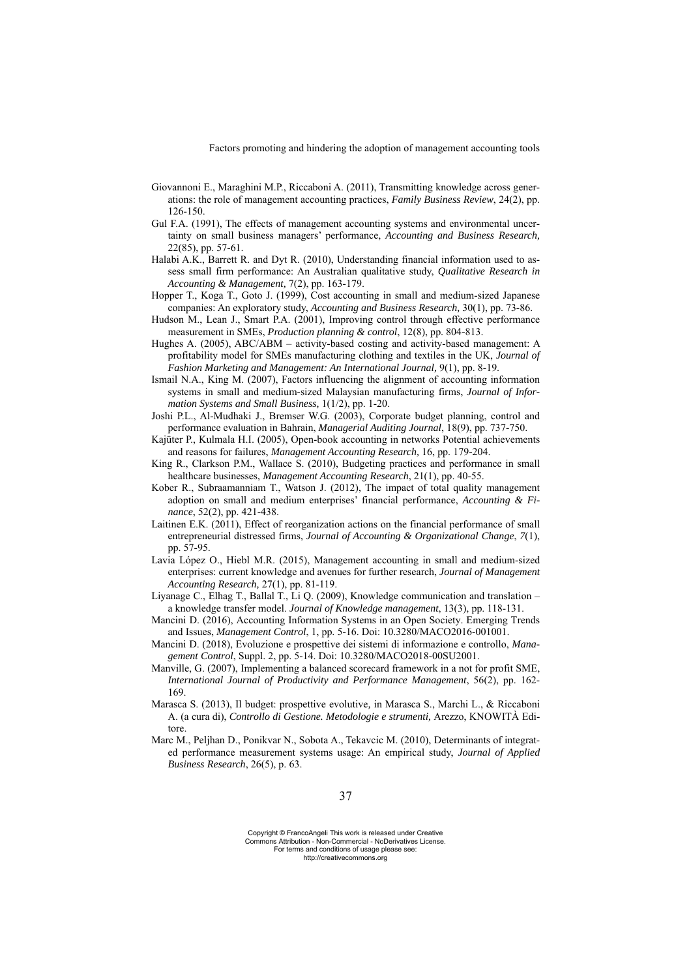- Giovannoni E., Maraghini M.P., Riccaboni A. (2011), Transmitting knowledge across generations: the role of management accounting practices, *Family Business Review*, 24(2), pp. 126-150.
- Gul F.A. (1991), The effects of management accounting systems and environmental uncertainty on small business managers' performance, *Accounting and Business Research,*  22(85), pp. 57-61.
- Halabi A.K., Barrett R. and Dyt R. (2010), Understanding financial information used to assess small firm performance: An Australian qualitative study, *Qualitative Research in Accounting & Management,* 7(2), pp. 163-179.
- Hopper T., Koga T., Goto J. (1999), Cost accounting in small and medium-sized Japanese companies: An exploratory study, *Accounting and Business Research,* 30(1), pp. 73-86.
- Hudson M., Lean J., Smart P.A. (2001), Improving control through effective performance measurement in SMEs, *Production planning & control*, 12(8), pp. 804-813.
- Hughes A. (2005), ABC/ABM activity-based costing and activity-based management: A profitability model for SMEs manufacturing clothing and textiles in the UK, *Journal of Fashion Marketing and Management: An International Journal,* 9(1), pp. 8-19.
- Ismail N.A., King M. (2007), Factors influencing the alignment of accounting information systems in small and medium-sized Malaysian manufacturing firms, *Journal of Information Systems and Small Business,* 1(1/2), pp. 1-20.
- Joshi P.L., Al-Mudhaki J., Bremser W.G. (2003), Corporate budget planning, control and performance evaluation in Bahrain, *Managerial Auditing Journal*, 18(9), pp. 737-750.
- Kajüter P., Kulmala H.I. (2005), Open-book accounting in networks Potential achievements and reasons for failures, *Management Accounting Research,* 16, pp. 179-204.
- King R., Clarkson P.M., Wallace S. (2010), Budgeting practices and performance in small healthcare businesses, *Management Accounting Research*, 21(1), pp. 40-55.
- Kober R., Subraamanniam T., Watson J. (2012), The impact of total quality management adoption on small and medium enterprises' financial performance, *Accounting & Finance*, 52(2), pp. 421-438.
- Laitinen E.K. (2011), Effect of reorganization actions on the financial performance of small entrepreneurial distressed firms, *Journal of Accounting & Organizational Change*, *7*(1), pp. 57-95.
- Lavia López O., Hiebl M.R. (2015), Management accounting in small and medium-sized enterprises: current knowledge and avenues for further research, *Journal of Management Accounting Research,* 27(1), pp. 81-119.
- Liyanage C., Elhag T., Ballal T., Li Q. (2009), Knowledge communication and translation a knowledge transfer model. *Journal of Knowledge management*, 13(3), pp. 118-131.
- Mancini D. (2016), Accounting Information Systems in an Open Society. Emerging Trends and Issues, *Management Control*, 1, pp. 5-16. Doi: 10.3280/MACO2016-001001.
- Mancini D. (2018), Evoluzione e prospettive dei sistemi di informazione e controllo, *Management Control*, Suppl. 2, pp. 5-14. Doi: 10.3280/MACO2018-00SU2001.
- Manville, G. (2007), Implementing a balanced scorecard framework in a not for profit SME, *International Journal of Productivity and Performance Management*, 56(2), pp. 162- 169.
- Marasca S. (2013), Il budget: prospettive evolutive*,* in Marasca S., Marchi L., & Riccaboni A. (a cura di), *Controllo di Gestione. Metodologie e strumenti,* Arezzo, KNOWITÀ Editore.
- Marc M., Peljhan D., Ponikvar N., Sobota A., Tekavcic M. (2010), Determinants of integrated performance measurement systems usage: An empirical study, *Journal of Applied Business Research*, 26(5), p. 63.

Copyright © FrancoAngeli This work is released under Creative Commons Attribution - Non-Commercial - NoDerivatives License. For terms and conditions of usage please see: http://creativecommons.org